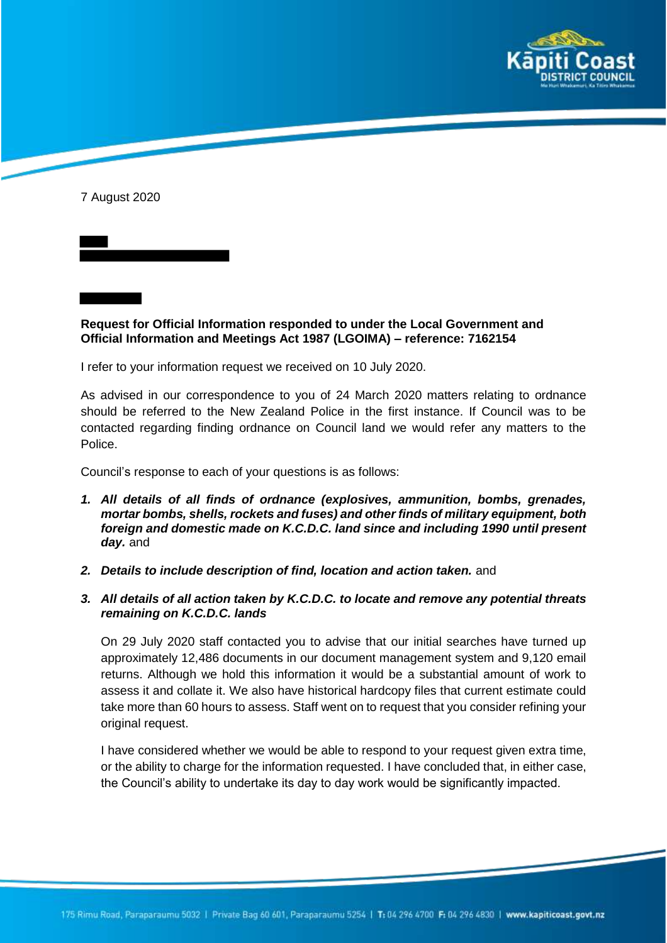

7 August 2020

**Request for Official Information responded to under the Local Government and Official Information and Meetings Act 1987 (LGOIMA) – reference: 7162154**

I refer to your information request we received on 10 July 2020.

As advised in our correspondence to you of 24 March 2020 matters relating to ordnance should be referred to the New Zealand Police in the first instance. If Council was to be contacted regarding finding ordnance on Council land we would refer any matters to the Police.

Council's response to each of your questions is as follows:

- *1. All details of all finds of ordnance (explosives, ammunition, bombs, grenades, mortar bombs, shells, rockets and fuses) and other finds of military equipment, both foreign and domestic made on K.C.D.C. land since and including 1990 until present day.* and
- *2. Details to include description of find, location and action taken.* and
- *3. All details of all action taken by K.C.D.C. to locate and remove any potential threats remaining on K.C.D.C. lands*

On 29 July 2020 staff contacted you to advise that our initial searches have turned up approximately 12,486 documents in our document management system and 9,120 email returns. Although we hold this information it would be a substantial amount of work to assess it and collate it. We also have historical hardcopy files that current estimate could take more than 60 hours to assess. Staff went on to request that you consider refining your original request.

I have considered whether we would be able to respond to your request given extra time, or the ability to charge for the information requested. I have concluded that, in either case, the Council's ability to undertake its day to day work would be significantly impacted.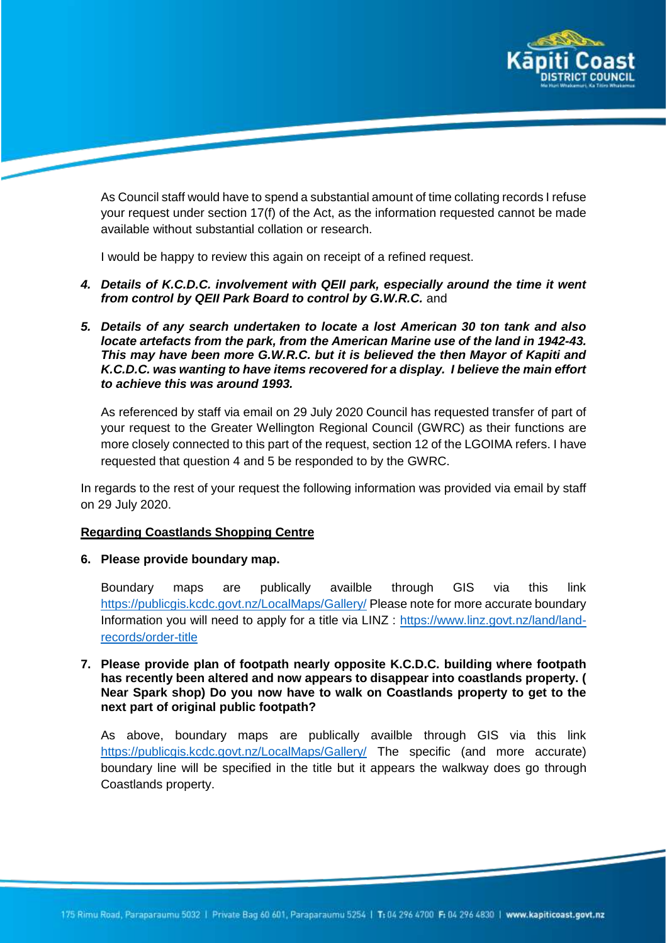

As Council staff would have to spend a substantial amount of time collating records I refuse your request under section 17(f) of the Act, as the information requested cannot be made available without substantial collation or research.

I would be happy to review this again on receipt of a refined request.

- *4. Details of K.C.D.C. involvement with QEII park, especially around the time it went from control by QEII Park Board to control by G.W.R.C.* and
- *5. Details of any search undertaken to locate a lost American 30 ton tank and also locate artefacts from the park, from the American Marine use of the land in 1942-43. This may have been more G.W.R.C. but it is believed the then Mayor of Kapiti and K.C.D.C. was wanting to have items recovered for a display. I believe the main effort to achieve this was around 1993.*

As referenced by staff via email on 29 July 2020 Council has requested transfer of part of your request to the Greater Wellington Regional Council (GWRC) as their functions are more closely connected to this part of the request, section 12 of the LGOIMA refers. I have requested that question 4 and 5 be responded to by the GWRC.

In regards to the rest of your request the following information was provided via email by staff on 29 July 2020.

## **Regarding Coastlands Shopping Centre**

**6. Please provide boundary map.** 

Boundary maps are publically availble through GIS via this link https://publicgis.kcdc.govt.nz/LocalMaps/Gallery/ Please note for more accurate boundary Information you will need to apply for a title via LINZ : https://www.linz.govt.nz/land/landrecords/order-title

**7. Please provide plan of footpath nearly opposite K.C.D.C. building where footpath has recently been altered and now appears to disappear into coastlands property. ( Near Spark shop) Do you now have to walk on Coastlands property to get to the next part of original public footpath?**

As above, boundary maps are publically availble through GIS via this link https://publicgis.kcdc.govt.nz/LocalMaps/Gallery/ The specific (and more accurate) boundary line will be specified in the title but it appears the walkway does go through Coastlands property.